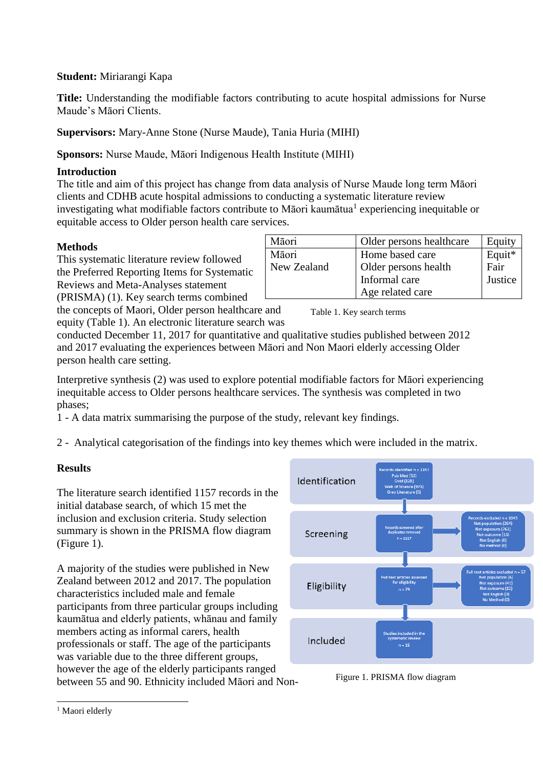### **Student:** Miriarangi Kapa

**Title:** Understanding the modifiable factors contributing to acute hospital admissions for Nurse Maude's Māori Clients.

**Supervisors:** Mary-Anne Stone (Nurse Maude), Tania Huria (MIHI)

**Sponsors:** Nurse Maude, Māori Indigenous Health Institute (MIHI)

## **Introduction**

The title and aim of this project has change from data analysis of Nurse Maude long term Māori clients and CDHB acute hospital admissions to conducting a systematic literature review investigating what modifiable factors contribute to Māori kaumātua<sup>1</sup> experiencing inequitable or equitable access to Older person health care services.

### **Methods**

This systematic literature review followed the Preferred Reporting Items for Systematic Reviews and Meta-Analyses statement (PRISMA) (1). Key search terms combined

| Māori       | Older persons healthcare | Equity  |
|-------------|--------------------------|---------|
| Māori       | Home based care          | Equit*  |
| New Zealand | Older persons health     | Fair    |
|             | Informal care            | Justice |
|             | Age related care         |         |

the concepts of Maori, Older person healthcare and equity (Table 1). An electronic literature search was

Table 1. Key search terms

conducted December 11, 2017 for quantitative and qualitative studies published between 2012 and 2017 evaluating the experiences between Māori and Non Maori elderly accessing Older person health care setting.

Interpretive synthesis (2) was used to explore potential modifiable factors for Māori experiencing inequitable access to Older persons healthcare services. The synthesis was completed in two phases;

1 - A data matrix summarising the purpose of the study, relevant key findings.

2 - Analytical categorisation of the findings into key themes which were included in the matrix.

# **Results**

The literature search identified 1157 records in the initial database search, of which 15 met the inclusion and exclusion criteria. Study selection summary is shown in the PRISMA flow diagram (Figure 1).

A majority of the studies were published in New Zealand between 2012 and 2017. The population characteristics included male and female participants from three particular groups including kaumātua and elderly patients, whānau and family members acting as informal carers, health professionals or staff. The age of the participants was variable due to the three different groups, however the age of the elderly participants ranged between 55 and 90. Ethnicity included Māori and Non-



Figure 1. PRISMA flow diagram

l

<sup>&</sup>lt;sup>1</sup> Maori elderly